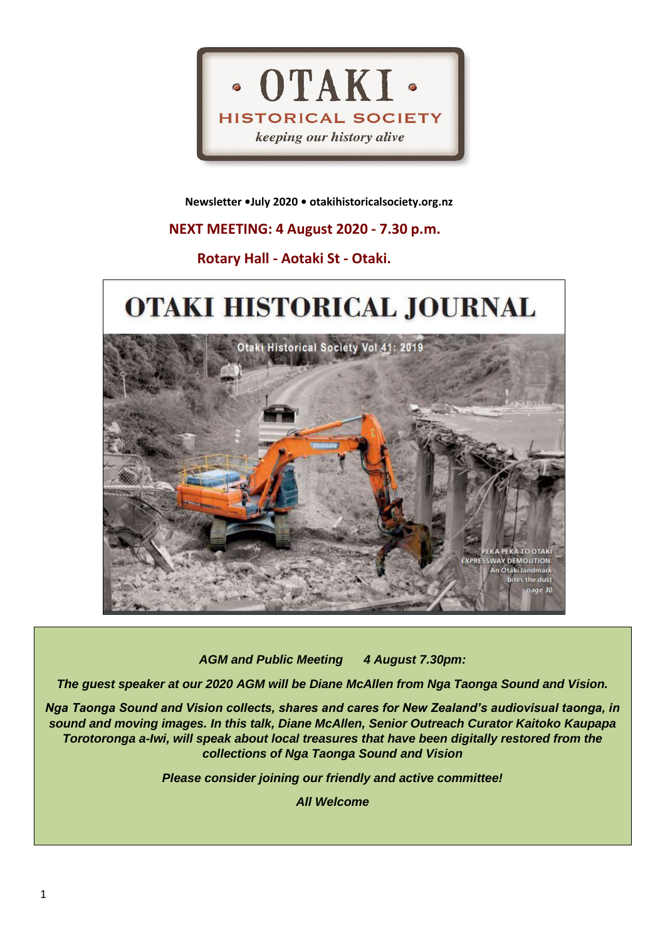

 **Newsletter •July 2020 • otakihistoricalsociety.org.nz**

# **NEXT MEETING: 4 August 2020 - 7.30 p.m.**

# **Rotary Hall - Aotaki St - Otaki.**

# OTAKI HISTORICAL JOURNAL Otaki Historical Society Vol 41: 2019



*AGM and Public Meeting 4 August 7.30pm:* 

*The guest speaker at our 2020 AGM will be Diane McAllen from Nga Taonga Sound and Vision.*

*Nga Taonga Sound and Vision collects, shares and cares for New Zealand's audiovisual taonga, in sound and moving images. In this talk, Diane McAllen, Senior Outreach Curator Kaitoko Kaupapa Torotoronga a-Iwi, will speak about local treasures that have been digitally restored from the collections of Nga Taonga Sound and Vision*

*Please consider joining our friendly and active committee!*

*All Welcome*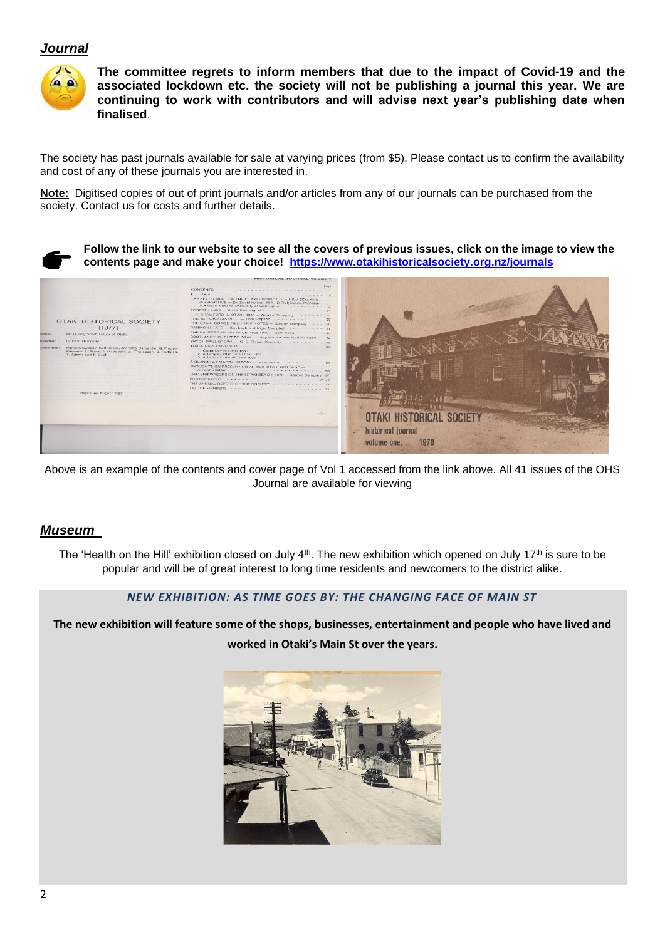### *Journal*



**The committee regrets to inform members that due to the impact of Covid-19 and the associated lockdown etc. the society will not be publishing a journal this year. We are continuing to work with contributors and will advise next year's publishing date when finalised**.

The society has past journals available for sale at varying prices (from \$5). Please contact us to confirm the availability and cost of any of these journals you are interested in.

**Note:** Digitised copies of out of print journals and/or articles from any of our journals can be purchased from the society. Contact us for costs and further details.

**Follow the link to our website to see all the covers of previous issues, click on the image to view the contents page and make your choice! <https://www.otakihistoricalsociety.org.nz/journals>**



Above is an example of the contents and cover page of Vol 1 accessed from the link above. All 41 issues of the OHS Journal are available for viewing

#### *Museum*

The 'Health on the Hill' exhibition closed on July  $4<sup>th</sup>$ . The new exhibition which opened on July 17<sup>th</sup> is sure to be popular and will be of great interest to long time residents and newcomers to the district alike.

#### *NEW EXHIBITION: AS TIME GOES BY: THE CHANGING FACE OF MAIN ST*

**The new exhibition will feature some of the shops, businesses, entertainment and people who have lived and worked in Otaki's Main St over the years.**

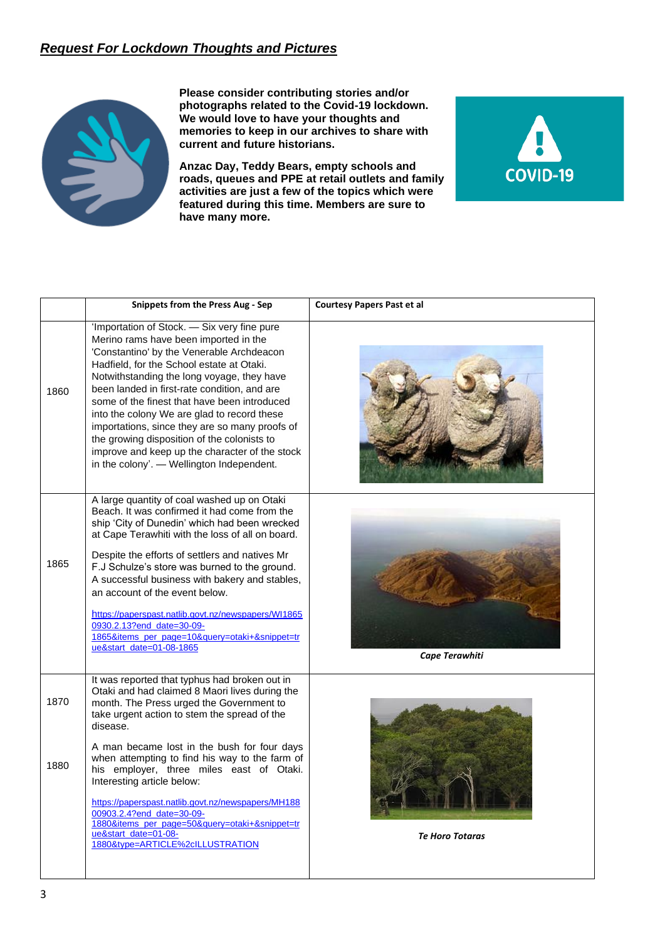## *Request For Lockdown Thoughts and Pictures*



**Please consider contributing stories and/or photographs related to the Covid-19 lockdown. We would love to have your thoughts and memories to keep in our archives to share with current and future historians.**

**Anzac Day, Teddy Bears, empty schools and roads, queues and PPE at retail outlets and family activities are just a few of the topics which were featured during this time. Members are sure to have many more.**



|      | <b>Snippets from the Press Aug - Sep</b>                                                                                                                                                                                                                                                                                                                                                                                                                                                                                                                                    | <b>Courtesy Papers Past et al</b> |
|------|-----------------------------------------------------------------------------------------------------------------------------------------------------------------------------------------------------------------------------------------------------------------------------------------------------------------------------------------------------------------------------------------------------------------------------------------------------------------------------------------------------------------------------------------------------------------------------|-----------------------------------|
| 1860 | 'Importation of Stock. - Six very fine pure<br>Merino rams have been imported in the<br>'Constantino' by the Venerable Archdeacon<br>Hadfield, for the School estate at Otaki.<br>Notwithstanding the long voyage, they have<br>been landed in first-rate condition, and are<br>some of the finest that have been introduced<br>into the colony We are glad to record these<br>importations, since they are so many proofs of<br>the growing disposition of the colonists to<br>improve and keep up the character of the stock<br>in the colony'. - Wellington Independent. |                                   |
| 1865 | A large quantity of coal washed up on Otaki<br>Beach. It was confirmed it had come from the<br>ship 'City of Dunedin' which had been wrecked<br>at Cape Terawhiti with the loss of all on board.<br>Despite the efforts of settlers and natives Mr<br>F.J Schulze's store was burned to the ground.<br>A successful business with bakery and stables,<br>an account of the event below.<br>https://paperspast.natlib.govt.nz/newspapers/WI1865<br>0930.2.13?end_date=30-09-<br>1865&items_per_page=10&query=otaki+&snippet=tr<br>ue&start_date=01-08-1865                   | Cape Terawhiti                    |
| 1870 | It was reported that typhus had broken out in<br>Otaki and had claimed 8 Maori lives during the<br>month. The Press urged the Government to<br>take urgent action to stem the spread of the<br>disease.                                                                                                                                                                                                                                                                                                                                                                     |                                   |
| 1880 | A man became lost in the bush for four days<br>when attempting to find his way to the farm of<br>his employer, three miles east of Otaki.<br>Interesting article below:<br>https://paperspast.natlib.govt.nz/newspapers/MH188<br>00903.2.4?end_date=30-09-<br>1880&items_per_page=50&query=otaki+&snippet=tr<br>ue&start_date=01-08-<br>1880&type=ARTICLE%2cILLUSTRATION                                                                                                                                                                                                    | <b>Te Horo Totaras</b>            |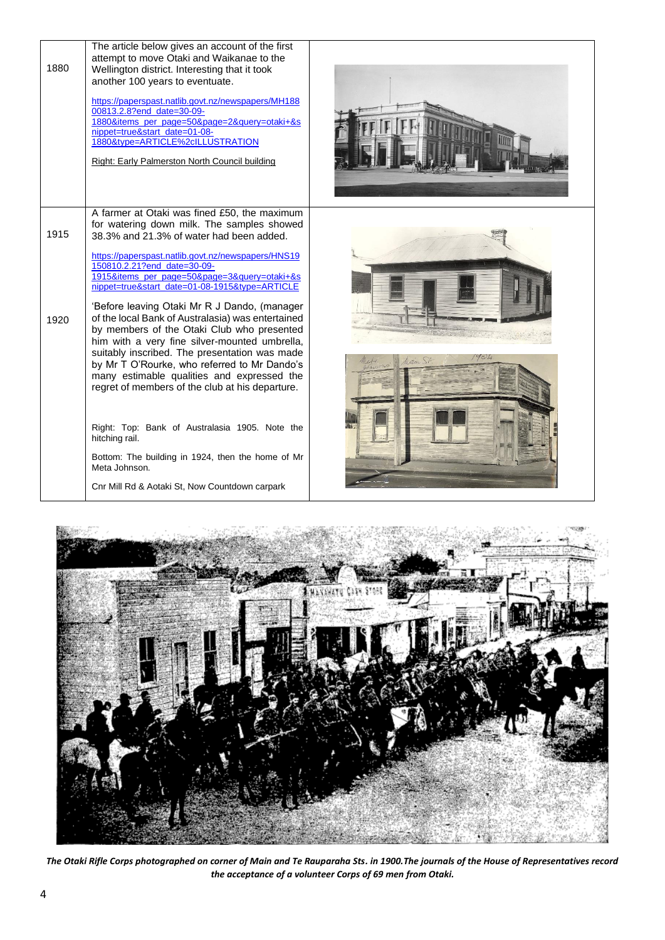| 1880         | The article below gives an account of the first<br>attempt to move Otaki and Waikanae to the<br>Wellington district. Interesting that it took<br>another 100 years to eventuate.<br>https://paperspast.natlib.govt.nz/newspapers/MH188<br>00813.2.8?end_date=30-09-<br>1880&items_per_page=50&page=2&query=otaki+&s<br>nippet=true&start_date=01-08-<br>1880&type=ARTICLE%2cILLUSTRATION<br>Right: Early Palmerston North Council building |  |
|--------------|--------------------------------------------------------------------------------------------------------------------------------------------------------------------------------------------------------------------------------------------------------------------------------------------------------------------------------------------------------------------------------------------------------------------------------------------|--|
| 1915<br>1920 | A farmer at Otaki was fined £50, the maximum<br>for watering down milk. The samples showed<br>38.3% and 21.3% of water had been added.<br>https://paperspast.natlib.govt.nz/newspapers/HNS19<br>150810.2.21?end_date=30-09-<br>1915&items_per_page=50&page=3&query=otaki+&s<br>nippet=true&start_date=01-08-1915&type=ARTICLE<br>'Before leaving Otaki Mr R J Dando, (manager<br>of the local Bank of Australasia) was entertained         |  |
|              | by members of the Otaki Club who presented<br>him with a very fine silver-mounted umbrella,<br>suitably inscribed. The presentation was made<br>by Mr T O'Rourke, who referred to Mr Dando's<br>many estimable qualities and expressed the<br>regret of members of the club at his departure.<br>Right: Top: Bank of Australasia 1905. Note the                                                                                            |  |
|              | hitching rail.<br>Bottom: The building in 1924, then the home of Mr<br>Meta Johnson.<br>Cnr Mill Rd & Aotaki St, Now Countdown carpark                                                                                                                                                                                                                                                                                                     |  |



*The Otaki Rifle Corps photographed on corner of Main and Te Rauparaha Sts. in 1900.The journals of the House of Representatives record the acceptance of a volunteer Corps of 69 men from Otaki.*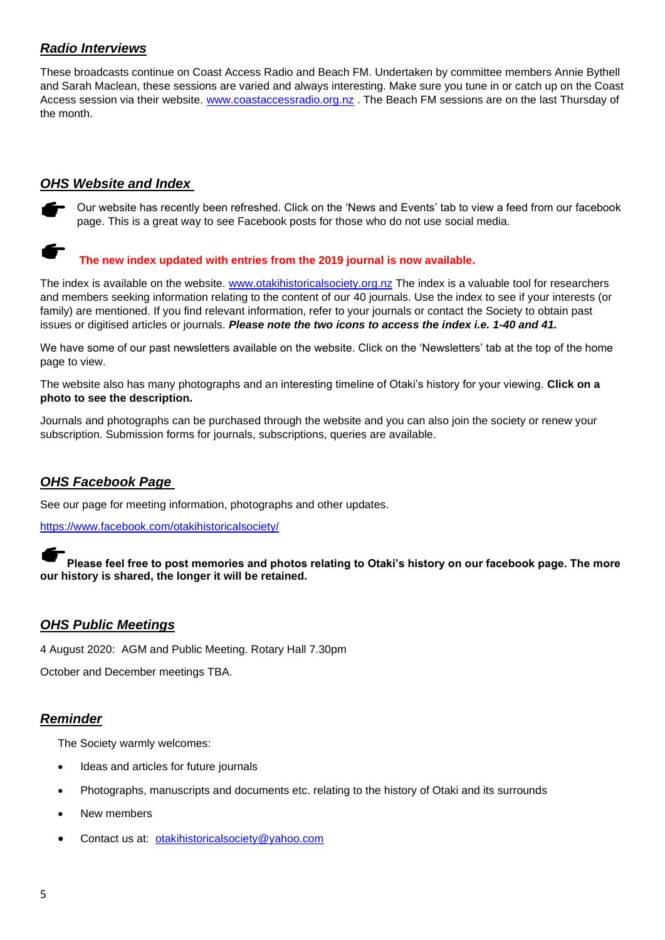# *Radio Interviews*

These broadcasts continue on Coast Access Radio and Beach FM. Undertaken by committee members Annie Bythell and Sarah Maclean, these sessions are varied and always interesting. Make sure you tune in or catch up on the Coast Access session via their website. [www.coastaccessradio.org.nz](http://www.coastaccessradio.org.nz/) . The Beach FM sessions are on the last Thursday of the month.

# *OHS Website and Index*

Our website has recently been refreshed. Click on the 'News and Events' tab to view a feed from our facebook page. This is a great way to see Facebook posts for those who do not use social media.

# **The new index updated with entries from the 2019 journal is now available.**

The index is available on the website. [www.otakihistoricalsociety.org.nz](http://www.otakihistoricalsociety.org.nz/) The index is a valuable tool for researchers and members seeking information relating to the content of our 40 journals. Use the index to see if your interests (or family) are mentioned. If you find relevant information, refer to your journals or contact the Society to obtain past issues or digitised articles or journals. *Please note the two icons to access the index i.e. 1-40 and 41.*

We have some of our past newsletters available on the website. Click on the 'Newsletters' tab at the top of the home page to view.

The website also has many photographs and an interesting timeline of Otaki's history for your viewing. **Click on a photo to see the description.**

Journals and photographs can be purchased through the website and you can also join the society or renew your subscription. Submission forms for journals, subscriptions, queries are available.

## *OHS Facebook Page*

See our page for meeting information, photographs and other updates.

<https://www.facebook.com/otakihistoricalsociety/>

**Please feel free to post memories and photos relating to Otaki's history on our facebook page. The more our history is shared, the longer it will be retained.**

#### *OHS Public Meetings*

4 August 2020: AGM and Public Meeting. Rotary Hall 7.30pm

October and December meetings TBA.

#### *Reminder*

The Society warmly welcomes:

- Ideas and articles for future journals
- Photographs, manuscripts and documents etc. relating to the history of Otaki and its surrounds
- New members
- Contact us at: [otakihistoricalsociety@yahoo.com](mailto:otakihistoricalsociety@yahoo.com)